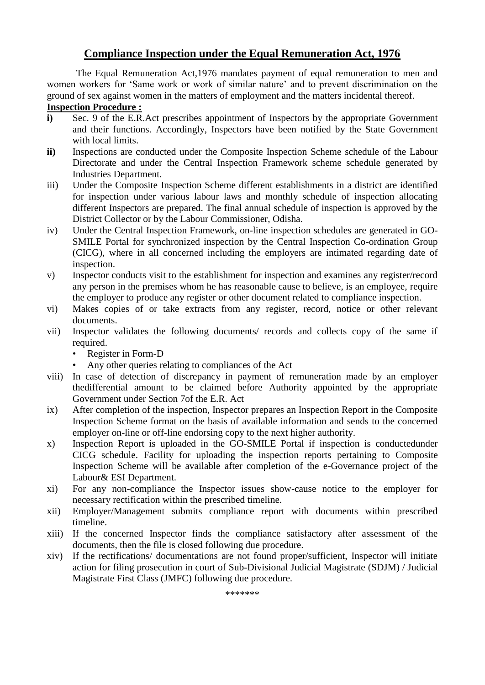# **Compliance Inspection under the Equal Remuneration Act, 1976**

The Equal Remuneration Act,1976 mandates payment of equal remuneration to men and women workers for 'Same work or work of similar nature' and to prevent discrimination on the ground of sex against women in the matters of employment and the matters incidental thereof.

# **Inspection Procedure :**

- **i)** Sec. 9 of the E.R.Act prescribes appointment of Inspectors by the appropriate Government and their functions. Accordingly, Inspectors have been notified by the State Government with local limits.
- **ii)** Inspections are conducted under the Composite Inspection Scheme schedule of the Labour Directorate and under the Central Inspection Framework scheme schedule generated by Industries Department.
- iii) Under the Composite Inspection Scheme different establishments in a district are identified for inspection under various labour laws and monthly schedule of inspection allocating different Inspectors are prepared. The final annual schedule of inspection is approved by the District Collector or by the Labour Commissioner, Odisha.
- iv) Under the Central Inspection Framework, on-line inspection schedules are generated in GO-SMILE Portal for synchronized inspection by the Central Inspection Co-ordination Group (CICG), where in all concerned including the employers are intimated regarding date of inspection.
- v) Inspector conducts visit to the establishment for inspection and examines any register/record any person in the premises whom he has reasonable cause to believe, is an employee, require the employer to produce any register or other document related to compliance inspection.
- vi) Makes copies of or take extracts from any register, record, notice or other relevant documents.
- vii) Inspector validates the following documents/ records and collects copy of the same if required.
	- Register in Form-D
	- Any other queries relating to compliances of the Act
- viii) In case of detection of discrepancy in payment of remuneration made by an employer thedifferential amount to be claimed before Authority appointed by the appropriate Government under Section 7of the E.R. Act
- ix) After completion of the inspection, Inspector prepares an Inspection Report in the Composite Inspection Scheme format on the basis of available information and sends to the concerned employer on-line or off-line endorsing copy to the next higher authority.
- x) Inspection Report is uploaded in the GO-SMILE Portal if inspection is conductedunder CICG schedule. Facility for uploading the inspection reports pertaining to Composite Inspection Scheme will be available after completion of the e-Governance project of the Labour& ESI Department.
- xi) For any non-compliance the Inspector issues show-cause notice to the employer for necessary rectification within the prescribed timeline.
- xii) Employer/Management submits compliance report with documents within prescribed timeline.
- xiii) If the concerned Inspector finds the compliance satisfactory after assessment of the documents, then the file is closed following due procedure.
- xiv) If the rectifications/ documentations are not found proper/sufficient, Inspector will initiate action for filing prosecution in court of Sub-Divisional Judicial Magistrate (SDJM) / Judicial Magistrate First Class (JMFC) following due procedure.

\*\*\*\*\*\*\*